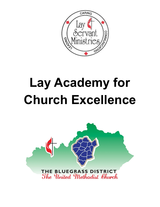

# **Lay Academy for Church Excellence**

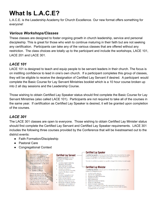## **What Is L.A.C.E?**

L.A.C.E. is the Leadership Academy for Church Excellence. Our new format offers something for everyone!

#### *Various Workshops/Classes*

These classes are designed to foster ongoing growth in church leadership, service and personal discipleship. This is great for those who wish to continue maturing in their faith but are not seeking any certification. Participants can take any of the various classes that are offered without any restriction. The class choices are totally up to the participant and include the workshops, LACE 101, LACE 201 and LACE 301.

#### *LACE 101*

LACE 101 is designed to teach and equip people to be servant leaders in their church. The focus is on instilling confidence to lead in one's own church. If a participant completes this group of classes, they will be eligible to receive the designation of Certified Lay Servant if desired. A participant would complete the Basic Course for Lay Servant Ministries booklet which is a 10 hour course broken up into 2 all day sessions and the Leadership Course.

Those wishing to obtain Certified Lay Speaker status should first complete the Basic Course for Lay Servant Ministries (also called LACE 101). Participants are not required to take all of the courses in the same year. If certification as Certified Lay Speaker is desired, it will be granted upon completion of the courses.

## *LACE 301*

The LACE 301 classes are open to everyone. Those wishing to obtain Certified Lay Minister status should first complete the Certified Lay Servant and Certified Lay Speaker requirements. LACE 301 includes the following three courses provided by the Conference that will be livestreamed out to the district events:

- Faith Formation/Discipleship
- Pastoral Care
- Congregational Context

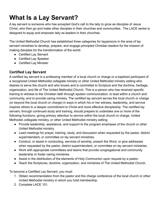# **What Is a Lay Servant?**

A lay servant is someone who has accepted God's call to the laity to grow as disciples of Jesus Christ, who then go and make other disciples in their churches and communities. The LACE series is designed to equip and empower laity as leaders in their churches.

The United Methodist Church has established three categories for laypersons in the area of lay servant ministries to develop, prepare, and engage principled Christian leaders for the mission of making disciples for the transformation of the world:

- Certified Lay Servant
- Certified Lay Speaker
- Certified Lay Minister

#### **Certified Lay Servant**

A certified lay servant is a professing member of a local church or charge or a baptized participant of a recognized United Methodist collegiate ministry or other United Methodist ministry setting who desires to serve the church and who knows and is committed to Scripture and the doctrine, heritage, organization, and life of The United Methodist Church. This is a person who has received specific training to witness to the Christian faith through spoken communication, to lead within a church and community, and to provide caring ministry. The certified lay servant serves the local church or charge (or beyond the local church or charge) in ways in which his or her witness, leadership, and service inspires others to a deeper commitment to Christ and more effective discipleship. The certified lay servant, through continued study and training, should prepare to undertake one or more of the following functions, giving primary attention to service within the local church or charge, United Methodist collegiate ministry, or other United Methodist ministry setting:

- Provide leadership, assistance, and support to the program emphases of the church or other United Methodist ministry.
- Lead meetings for prayer, training, study, and discussion when requested by the pastor, district superintendent, or committee on lay servant ministries.
- Conduct, or assist in conducting, services of worship, preach the Word, or give addresses when requested by the pastor, district superintendent, or committee on lay servant ministries.
- Work with appropriate committees and teams that provide congregational and community leadership or foster caring ministries.
- Assist in the distribution of the elements of Holy Communion upon request by a pastor.
- Teach the Scriptures, doctrine, organization, and ministries of The United Methodist Church.

To become a Certified Lay Servant, you must:

- 1. Obtain recommendation from the pastor and the charge conference of the local church or other United Methodist ministry in which you hold membership.
- 2. Complete LACE 101.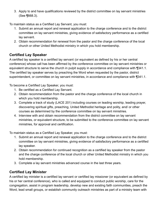3. Apply to and have qualifications reviewed by the district committee on lay servant ministries (See ¶668.3).

To maintain status as a Certified Lay Servant, you must:

- 1. Submit an annual report and renewal application to the charge conference and to the district committee on lay servant ministries, giving evidence of satisfactory performance as a certified lay servant.
- 2. Obtain recommendation for renewal from the pastor and the charge conference of the local church or other United Methodist ministry in which you hold membership.

## **Certified Lay Speaker**

A certified lay speaker is a certified lay servant (or equivalent as defined by his or her central conference) whose call has been affirmed by the conference committee on lay servant ministries or equivalent structure to serve the church in pulpit supply in accordance and compliance with ¶341.1. The certified lay speaker serves by preaching the Word when requested by the pastor, district superintendent, or committee on lay servant ministries, in accordance and compliance with ¶341.1.

To become a Certified Lay Speaker, you must:

- 1. Be certified as a Certified Lay Servant.
- 2. Obtain recommendation from the pastor and the charge conference of the local church in which you hold membership.
- 3. Complete a track of study (LACE 201) including courses on leading worship, leading prayer, discovering spiritual gifts, preaching, United Methodist heritage and polity, and/ or other courses as determined by the conference committee on lay servant ministries.
- 4. Interview with and obtain recommendation from the district committee on lay servant ministries, or equivalent structure, to be submitted to the conference committee on lay servant ministries, for approval and certification.

To maintain status as a Certified Lay Speaker, you must:

- 1. Submit an annual report and renewal application to the charge conference and to the district committee on lay servant ministries, giving evidence of satisfactory performance as a certified lay speaker.
- 2. Obtain recommendation for continued recognition as a certified lay speaker from the pastor and the charge conference of the local church or other United Methodist ministry in which you hold membership.
- 3. Complete a lay servant ministries advanced course in the last three years.

## **Certified Lay Minister**

A certified lay minister is a certified lay servant or certified lay missioner (or equivalent as defined by his or her central conference), who is called and equipped to conduct public worship, care for the congregation, assist in program leadership, develop new and existing faith communities, preach the Word, lead small groups, or establish community outreach ministries as part of a ministry team with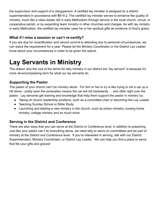the supervision and support of a clergyperson. A certified lay minister is assigned by a district superintendent in accordance with ¶419.2. The certified lay minister serves to enhance the quality of ministry, much like a class leader did in early Methodism through service in the local church, circuit, or cooperative parish, or by expanding team ministry in other churches and charges. As with lay ministry in early Methodism, the certified lay minister uses his or her spiritual gifts as evidence of God's grace.

#### **What if I miss a session or can't re-certify?**

If you are due for recertification and cannot commit to attending due to personal circumstances, we can waive the requirement for a year. Please let the Ministry Coordinator or the District Lay Leader know about your circumstances in order to be given the waiver.

## **Lay Servants in Ministry**

The reason why the root of the terms for laity ministry in our district are "lay servant" is because it's more all-encompassing term for what our lay servants do.

#### **Supporting the Pastor**

The pastor of your church can't do ministry alone. For him or her to try is like trying to roll a car up a hill alone - pretty soon the exhaustion means the car will roll backwards … and often right over the pastor. Lay servants get training and knowledge that help them support the pastor in ministry by:

- Taking on church leadership positions, such as a committee chair or becoming the Lay Leader
- Teaching Sunday School or Bible Study
- Launching and leading a new ministry in the church, such as prison ministry, nursing home ministry, college ministry and so much more.

#### **Serving in the District and Conference**

There are also ways that you can serve at the District or Conference level, in addition to preaching. Just like your pastor can't do everything alone, we need laity to serve on committees and be part of ministry at the District and Conference level. If you're interested in serving, talk with our District Superintendent, Ministry Coordinator, or District Lay Leader. We can help you find a place to serve that fits your gifts and graces!